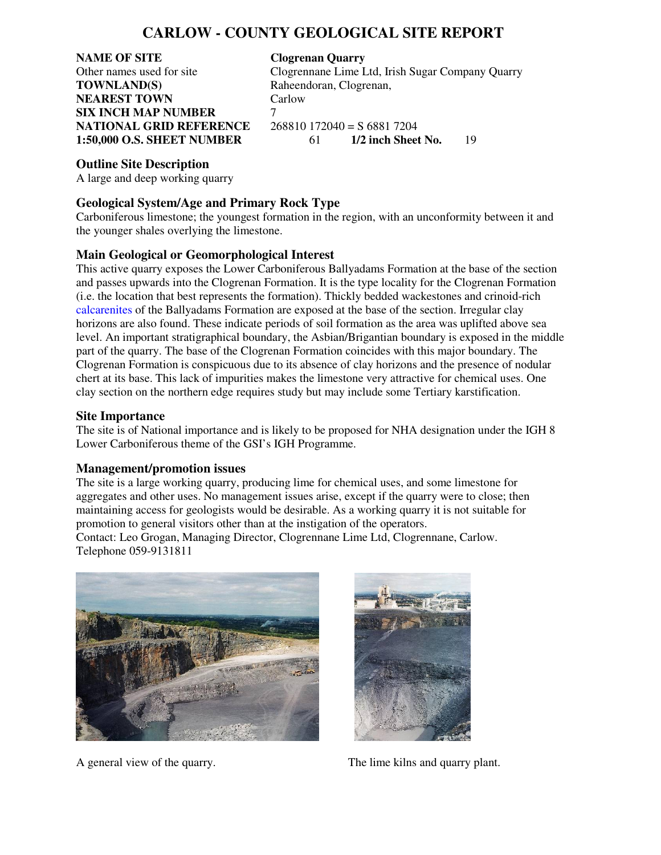## **CARLOW - COUNTY GEOLOGICAL SITE REPORT**

# **NAME OF SITE Clogrenan Quarry**<br> **Clogrenance Lime L**<br> **Clogrenance Lime L TOWNLAND(S)** Raheendoran, Clogrenan, **NEAREST TOWN Carlow SIX INCH MAP NUMBER** 7 **NATIONAL GRID REFERENCE** 268810 172040 = S 6881 7204<br>1:50.000 O.S. SHEET NUMBER 61 1/2 inch Sheet No.

Clogrennane Lime Ltd, Irish Sugar Company Quarry

**1:50,000 O.S. SHEET NUMBER** 61 **1/2 inch Sheet No.** 19

#### **Outline Site Description**

A large and deep working quarry

### **Geological System/Age and Primary Rock Type**

Carboniferous limestone; the youngest formation in the region, with an unconformity between it and the younger shales overlying the limestone.

### **Main Geological or Geomorphological Interest**

This active quarry exposes the Lower Carboniferous Ballyadams Formation at the base of the section and passes upwards into the Clogrenan Formation. It is the type locality for the Clogrenan Formation (i.e. the location that best represents the formation). Thickly bedded wackestones and crinoid-rich calcarenites of the Ballyadams Formation are exposed at the base of the section. Irregular clay horizons are also found. These indicate periods of soil formation as the area was uplifted above sea level. An important stratigraphical boundary, the Asbian/Brigantian boundary is exposed in the middle part of the quarry. The base of the Clogrenan Formation coincides with this major boundary. The Clogrenan Formation is conspicuous due to its absence of clay horizons and the presence of nodular chert at its base. This lack of impurities makes the limestone very attractive for chemical uses. One clay section on the northern edge requires study but may include some Tertiary karstification.

#### **Site Importance**

The site is of National importance and is likely to be proposed for NHA designation under the IGH 8 Lower Carboniferous theme of the GSI's IGH Programme.

#### **Management/promotion issues**

The site is a large working quarry, producing lime for chemical uses, and some limestone for aggregates and other uses. No management issues arise, except if the quarry were to close; then maintaining access for geologists would be desirable. As a working quarry it is not suitable for promotion to general visitors other than at the instigation of the operators.

Contact: Leo Grogan, Managing Director, Clogrennane Lime Ltd, Clogrennane, Carlow. Telephone 059-9131811





A general view of the quarry. The lime kilns and quarry plant.